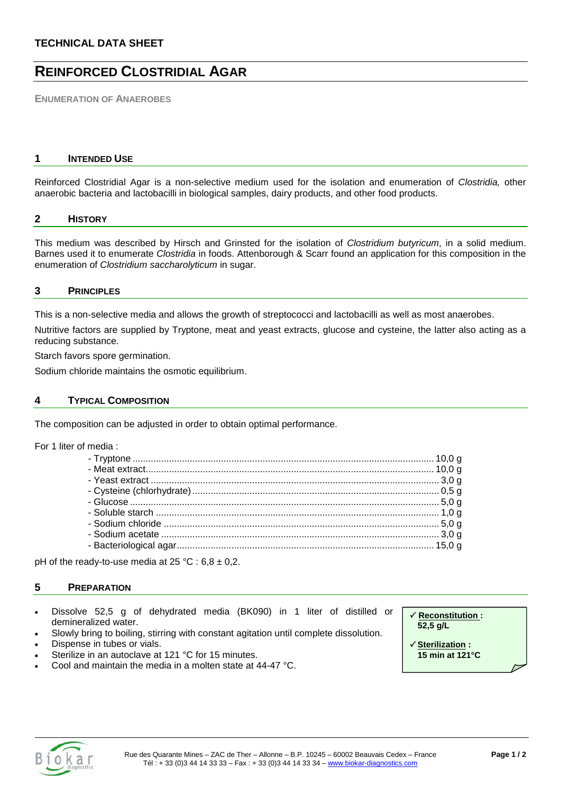# **REINFORCED CLOSTRIDIAL AGAR**

**ENUMERATION OF ANAEROBES**

# **1 INTENDED USE**

Reinforced Clostridial Agar is a non-selective medium used for the isolation and enumeration of *Clostridia,* other anaerobic bacteria and lactobacilli in biological samples, dairy products, and other food products.

## **2 HISTORY**

This medium was described by Hirsch and Grinsted for the isolation of *Clostridium butyricum*, in a solid medium. Barnes used it to enumerate *Clostridia* in foods. Attenborough & Scarr found an application for this composition in the enumeration of *Clostridium saccharolyticum* in sugar.

# **3 PRINCIPLES**

This is a non-selective media and allows the growth of streptococci and lactobacilli as well as most anaerobes.

Nutritive factors are supplied by Tryptone, meat and yeast extracts, glucose and cysteine, the latter also acting as a reducing substance.

Starch favors spore germination.

Sodium chloride maintains the osmotic equilibrium.

# **4 TYPICAL COMPOSITION**

The composition can be adjusted in order to obtain optimal performance.

For 1 liter of media :

pH of the ready-to-use media at  $25 °C : 6,8 \pm 0,2$ .

## **5 PREPARATION**

- Dissolve 52,5 g of dehydrated media (BK090) in 1 liter of distilled or demineralized water.
- Slowly bring to boiling, stirring with constant agitation until complete dissolution.
- Dispense in tubes or vials.
- Sterilize in an autoclave at 121 °C for 15 minutes.
- Cool and maintain the media in a molten state at 44-47 °C.

 **Reconstitution : 52,5 g/L**

 **Sterilization : 15 min at 121°C**